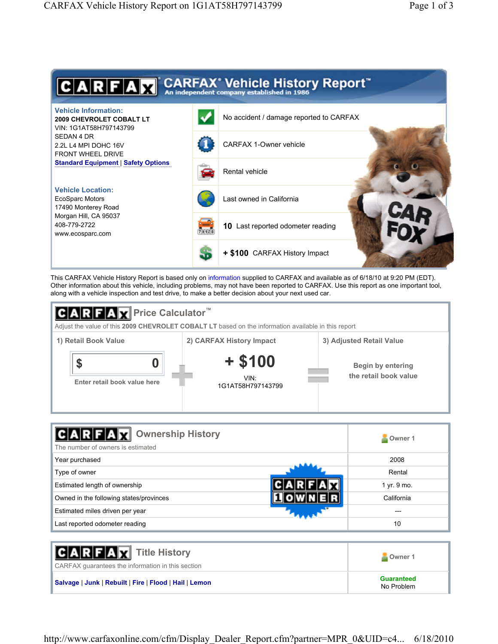

This CARFAX Vehicle History Report is based only on information supplied to CARFAX and available as of 6/18/10 at 9:20 PM (EDT). Other information about this vehicle, including problems, may not have been reported to CARFAX. Use this report as one important tool, along with a vehicle inspection and test drive, to make a better decision about your next used car.



| <b>Ownership History</b><br>The number of owners is estimated | Owner 1     |
|---------------------------------------------------------------|-------------|
| Year purchased                                                | 2008        |
| Type of owner                                                 | Rental      |
| Estimated length of ownership                                 | 1 yr. 9 mo. |
| Owned in the following states/provinces                       | California  |
| Estimated miles driven per year                               |             |
| Last reported odometer reading                                | 10          |

| <b>CARFAX</b> Title History<br>CARFAX quarantees the information in this section | Owner 1                         |
|----------------------------------------------------------------------------------|---------------------------------|
| Salvage   Junk   Rebuilt   Fire   Flood   Hail   Lemon                           | <b>Guaranteed</b><br>No Problem |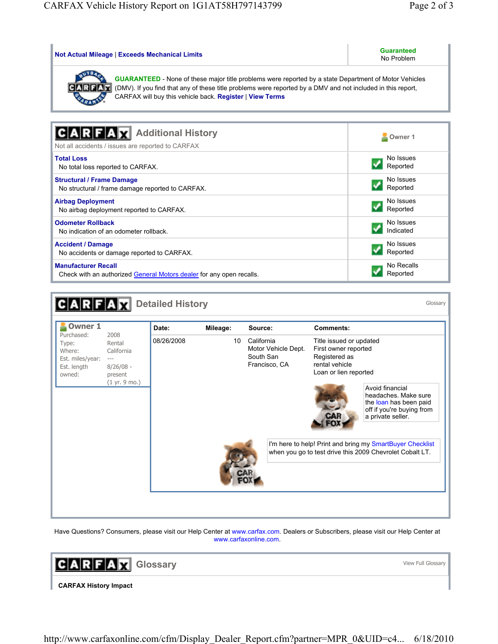| <b>Not Actual Mileage   Exceeds Mechanical Limits</b>                                                                                                                                                                                                                                   | <b>Guaranteed</b><br>No Problem |  |  |  |  |  |
|-----------------------------------------------------------------------------------------------------------------------------------------------------------------------------------------------------------------------------------------------------------------------------------------|---------------------------------|--|--|--|--|--|
| <b>GUARANTEED</b> - None of these major title problems were reported by a state Department of Motor Vehicles<br>(DMV). If you find that any of these title problems were reported by a DMV and not included in this report,<br>CARFAX will buy this vehicle back. Register   View Terms |                                 |  |  |  |  |  |
| <b>Additional History</b><br>Not all accidents / issues are reported to CARFAX                                                                                                                                                                                                          | Owner 1                         |  |  |  |  |  |
| <b>Total Loss</b>                                                                                                                                                                                                                                                                       | No Issues                       |  |  |  |  |  |
| No total loss reported to CARFAX.                                                                                                                                                                                                                                                       | Reported                        |  |  |  |  |  |
| <b>Structural / Frame Damage</b>                                                                                                                                                                                                                                                        | No Issues                       |  |  |  |  |  |
| No structural / frame damage reported to CARFAX.                                                                                                                                                                                                                                        | Reported                        |  |  |  |  |  |
| <b>Airbag Deployment</b>                                                                                                                                                                                                                                                                | No Issues                       |  |  |  |  |  |
| No airbag deployment reported to CARFAX.                                                                                                                                                                                                                                                | Reported                        |  |  |  |  |  |
| <b>Odometer Rollback</b>                                                                                                                                                                                                                                                                | No Issues                       |  |  |  |  |  |
| No indication of an odometer rollback                                                                                                                                                                                                                                                   | Indicated                       |  |  |  |  |  |
| <b>Accident / Damage</b>                                                                                                                                                                                                                                                                | No Issues                       |  |  |  |  |  |
| No accidents or damage reported to CARFAX.                                                                                                                                                                                                                                              | Reported                        |  |  |  |  |  |
| <b>Manufacturer Recall</b>                                                                                                                                                                                                                                                              | No Recalls                      |  |  |  |  |  |
| Check with an authorized General Motors dealer for any open recalls.                                                                                                                                                                                                                    | Reported                        |  |  |  |  |  |

|                                                                                                                                                                | <b>Detailed History</b> |          |                                                                 |                                                                                                                                                                                                                                                                                                                                                             | Glossary |
|----------------------------------------------------------------------------------------------------------------------------------------------------------------|-------------------------|----------|-----------------------------------------------------------------|-------------------------------------------------------------------------------------------------------------------------------------------------------------------------------------------------------------------------------------------------------------------------------------------------------------------------------------------------------------|----------|
| <b>Owner 1</b>                                                                                                                                                 | Date:                   | Mileage: | Source:                                                         | <b>Comments:</b>                                                                                                                                                                                                                                                                                                                                            |          |
| Purchased:<br>2008<br>Rental<br>Type:<br>California<br>Where:<br>Est. miles/year:<br>$---$<br>Est. length<br>$8/26/08 -$<br>owned:<br>present<br>(1 yr. 9 mo.) | 08/26/2008              | 10       | California<br>Motor Vehicle Dept.<br>South San<br>Francisco, CA | Title issued or updated<br>First owner reported<br>Registered as<br>rental vehicle<br>Loan or lien reported<br>Avoid financial<br>headaches. Make sure<br>the loan has been paid<br>off if you're buying from<br>a private seller.<br>I'm here to help! Print and bring my SmartBuyer Checklist<br>when you go to test drive this 2009 Chevrolet Cobalt LT. |          |

Have Questions? Consumers, please visit our Help Center at www.carfax.com. Dealers or Subscribers, please visit our Help Center at www.carfaxonline.com.

**GARFAX** Glossary

View Full Glossary

**CARFAX History Impact**